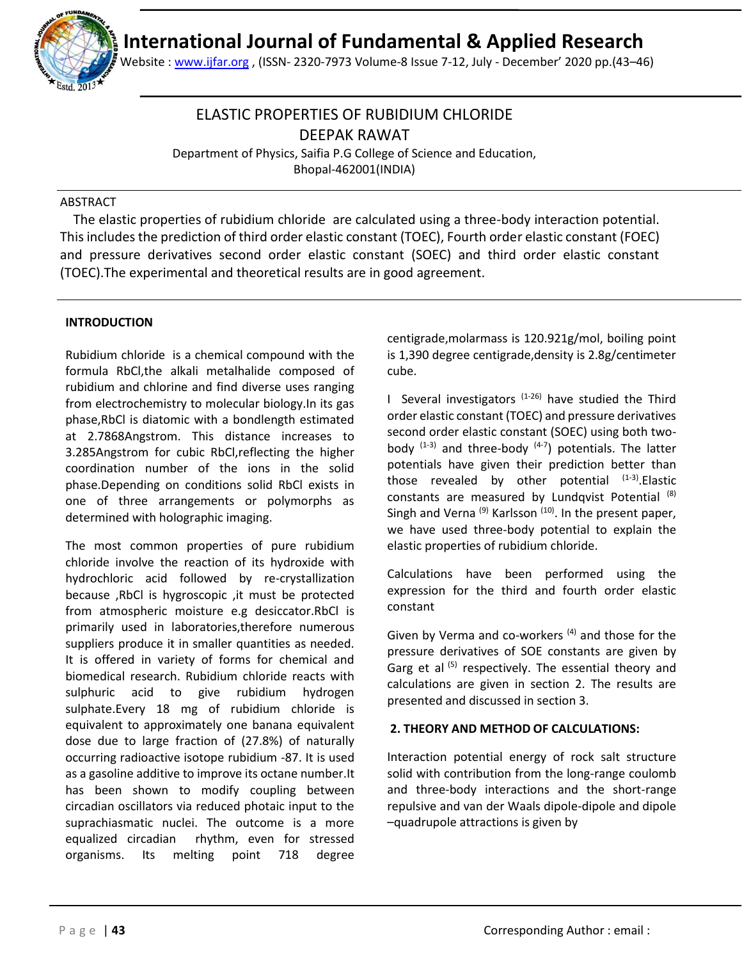

Website : [www.ijfar.org](http://www.ijfar.org/) , (ISSN- 2320-7973 Volume-8 Issue 7-12, July - December' 2020 pp.(43–46)

## ELASTIC PROPERTIES OF RUBIDIUM CHLORIDE DEEPAK RAWAT

Department of Physics, Saifia P.G College of Science and Education, Bhopal-462001(INDIA)

## ABSTRACT

 The elastic properties of rubidium chloride are calculated using a three-body interaction potential. This includes the prediction of third order elastic constant (TOEC), Fourth order elastic constant (FOEC) and pressure derivatives second order elastic constant (SOEC) and third order elastic constant (TOEC).The experimental and theoretical results are in good agreement.

## **INTRODUCTION**

Rubidium chloride is a chemical compound with the formula RbCl,the alkali metalhalide composed of rubidium and chlorine and find diverse uses ranging from electrochemistry to molecular biology.In its gas phase,RbCl is diatomic with a bondlength estimated at 2.7868Angstrom. This distance increases to 3.285Angstrom for cubic RbCl,reflecting the higher coordination number of the ions in the solid phase.Depending on conditions solid RbCl exists in one of three arrangements or polymorphs as determined with holographic imaging.

The most common properties of pure rubidium chloride involve the reaction of its hydroxide with hydrochloric acid followed by re-crystallization because ,RbCl is hygroscopic ,it must be protected from atmospheric moisture e.g desiccator.RbCl is primarily used in laboratories,therefore numerous suppliers produce it in smaller quantities as needed. It is offered in variety of forms for chemical and biomedical research. Rubidium chloride reacts with sulphuric acid to give rubidium hydrogen sulphate.Every 18 mg of rubidium chloride is equivalent to approximately one banana equivalent dose due to large fraction of (27.8%) of naturally occurring radioactive isotope rubidium -87. It is used as a gasoline additive to improve its octane number.It has been shown to modify coupling between circadian oscillators via reduced photaic input to the suprachiasmatic nuclei. The outcome is a more equalized circadian rhythm, even for stressed organisms. Its melting point 718 degree

centigrade,molarmass is 120.921g/mol, boiling point is 1,390 degree centigrade,density is 2.8g/centimeter cube.

I Several investigators  $(1-26)$  have studied the Third order elastic constant (TOEC) and pressure derivatives second order elastic constant (SOEC) using both twobody  $(1-3)$  and three-body  $(4-7)$  potentials. The latter potentials have given their prediction better than those revealed by other potential  $(1-3)$ . Elastic constants are measured by Lundqvist Potential (8) Singh and Verna<sup>(9)</sup> Karlsson<sup>(10)</sup>. In the present paper, we have used three-body potential to explain the elastic properties of rubidium chloride.

Calculations have been performed using the expression for the third and fourth order elastic constant

Given by Verma and co-workers  $(4)$  and those for the pressure derivatives of SOE constants are given by Garg et al  $(5)$  respectively. The essential theory and calculations are given in section 2. The results are presented and discussed in section 3.

## **2. THEORY AND METHOD OF CALCULATIONS:**

Interaction potential energy of rock salt structure solid with contribution from the long-range coulomb and three-body interactions and the short-range repulsive and van der Waals dipole-dipole and dipole –quadrupole attractions is given by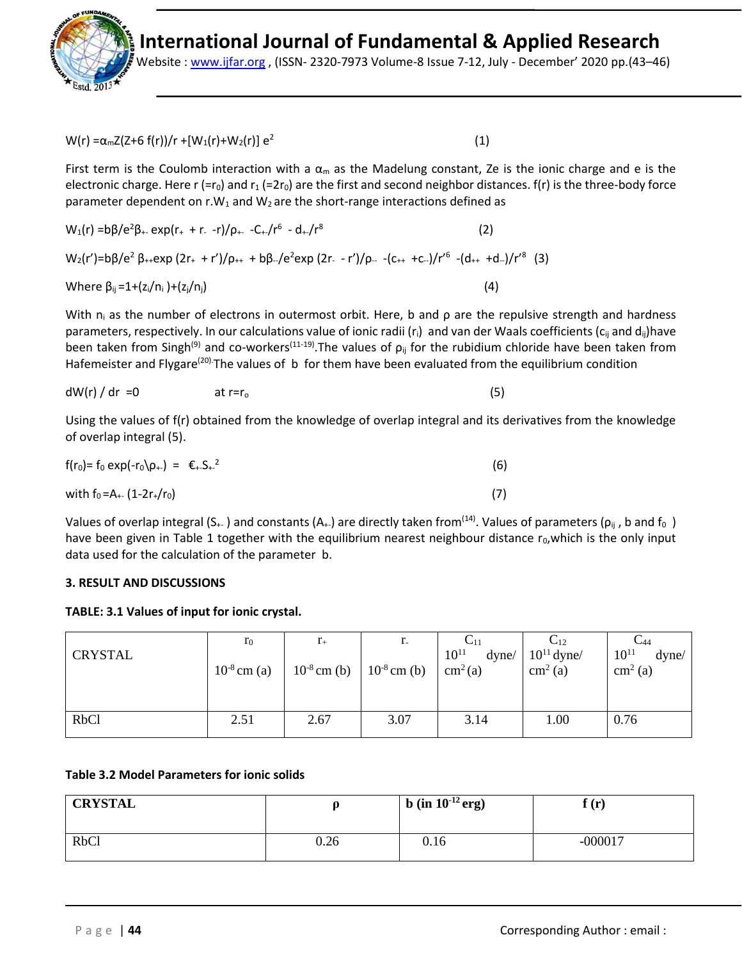

Website : [www.ijfar.org](http://www.ijfar.org/) , (ISSN- 2320-7973 Volume-8 Issue 7-12, July - December' 2020 pp.(43–46)

W(r) =  $\alpha_{\rm m}Z(Z+6 \text{ f(r)})/r + [W_1(r)+W_2(r)] \text{ e}^2$ 

 $(1)$ 

(3)

First term is the Coulomb interaction with a  $\alpha_m$  as the Madelung constant, Ze is the ionic charge and e is the electronic charge. Here r (=r<sub>0</sub>) and r<sub>1</sub> (=2r<sub>0</sub>) are the first and second neighbor distances. f(r) is the three-body force parameter dependent on  $r.W_1$  and  $W_2$  are the short-range interactions defined as

$$
W_1(r) = b\beta/e^2\beta_+ \exp(r_+ + r_- - r)/\rho_+ - C_+/r^6 - d_+/r^8
$$
\n(2)  
\n
$$
W_2(r') = b\beta/e^2\beta_+ \exp(2r_+ + r')/\rho_+ + b\beta_-/e^2 \exp(2r_- - r')/\rho_- - (c_{++} + c_-)/r'^6 - (d_{++} + d_-)/r'^8
$$
\nWhere  $\beta_{ij} = 1 + (z_i/n_i) + (z_j/n_j)$  (4)

With  $n_i$  as the number of electrons in outermost orbit. Here, b and  $\rho$  are the repulsive strength and hardness parameters, respectively. In our calculations value of ionic radii ( $r_i$ ) and van der Waals coefficients ( $c_{ij}$  and  $d_{ij}$ )have been taken from Singh<sup>(9)</sup> and co-workers<sup>(11-19)</sup>. The values of  $\rho_{ii}$  for the rubidium chloride have been taken from Hafemeister and Flygare<sup>(20).</sup>The values of b for them have been evaluated from the equilibrium condition

$$
dW(r) / dr = 0
$$
 at r=r<sub>o</sub> (5)

Using the values of f(r) obtained from the knowledge of overlap integral and its derivatives from the knowledge of overlap integral (5).

| $f(r_0) = f_0 \exp(-r_0)\rho_{+}) = \epsilon_{+} S_{+}^2$ | (6) |
|-----------------------------------------------------------|-----|
| with $f_0 = A_{+-} (1-2r_{+}/r_0)$                        | (7) |

Values of overlap integral (S<sub>+-</sub>) and constants (A<sub>+-</sub>) are directly taken from<sup>(14)</sup>. Values of parameters ( $\rho_{ii}$ , b and  $f_0$ ) have been given in Table 1 together with the equilibrium nearest neighbour distance  $r_0$ , which is the only input data used for the calculation of the parameter b.

## **3. RESULT AND DISCUSSIONS**

## **TABLE: 3.1 Values of input for ionic crystal.**

| <b>CRYSTAL</b> | $r_0$<br>$10^{-8}$ cm (a) | $r_{+}$<br>$10^{-8}$ cm (b) | r.<br>$10^{-8}$ cm (b) | $10^{11}$<br>dyne/<br>cm <sup>2</sup> (a) | $\mathrm{C}_{12}$<br>$10^{11}$ dyne/<br>$\text{cm}^2$ (a) | $C_{44}$<br>$10^{11}$<br>dyne/<br>$\text{cm}^2$ (a) |
|----------------|---------------------------|-----------------------------|------------------------|-------------------------------------------|-----------------------------------------------------------|-----------------------------------------------------|
| <b>RbCl</b>    | 2.51                      | 2.67                        | 3.07                   | 3.14                                      | 1.00                                                      | 0.76                                                |

## **Table 3.2 Model Parameters for ionic solids**

| <b>CRYSTAL</b> |      | <b>b</b> (in $10^{-12}$ erg) | f(r)<br>ж. |
|----------------|------|------------------------------|------------|
| <b>RbCl</b>    | 0.26 | 0.16                         | $-000017$  |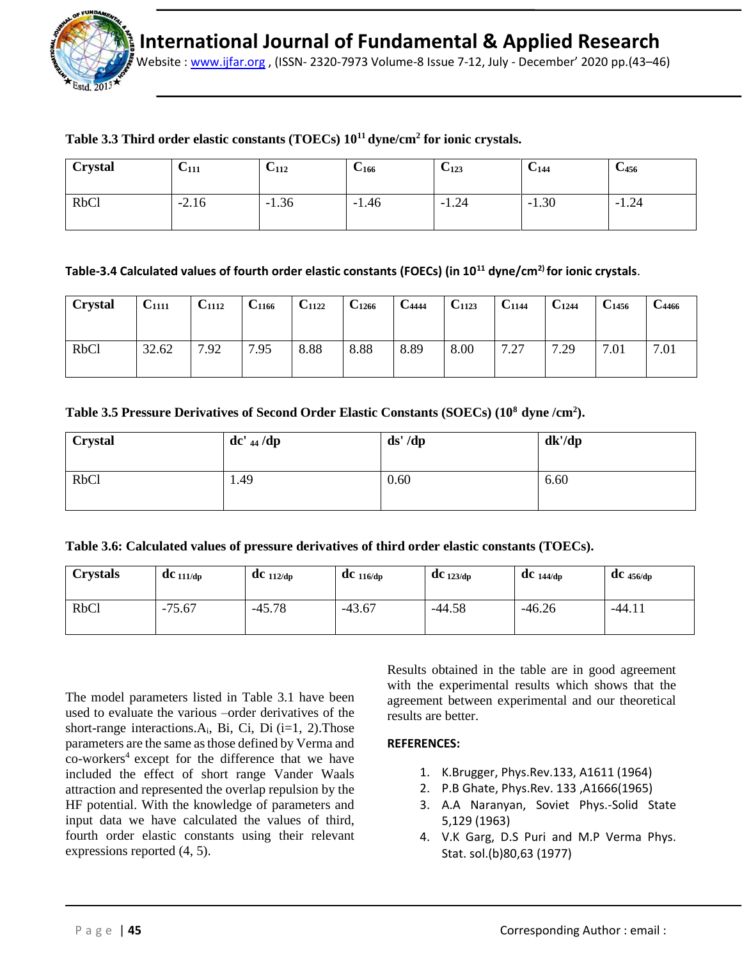

Website : [www.ijfar.org](http://www.ijfar.org/) , (ISSN- 2320-7973 Volume-8 Issue 7-12, July - December' 2020 pp.(43–46)

## **Table 3.3 Third order elastic constants (TOECs) 10<sup>11</sup>dyne/cm<sup>2</sup> for ionic crystals.**

| <b>Crystal</b> | U <sub>111</sub> | $U_{112}$ | $U_{166}$ | $U_{123}$ | $C_{144}$ | $C_{456}$ |
|----------------|------------------|-----------|-----------|-----------|-----------|-----------|
| <b>RbCl</b>    | $-2.16$          | $-1.36$   | $-1.46$   | $-1.24$   | $-1.30$   | $-1.24$   |

## **Table-3.4 Calculated values of fourth order elastic constants (FOECs) (in 10<sup>11</sup> dyne/cm2) for ionic crystals**.

| <b>Crystal</b> | $C_{1111}$ | $C_{1112}$ | C <sub>1166</sub> | $C_{1122}$ | $C_{1266}$ | $C_{4444}$ | $C_{1123}$ | $C_{1144}$         | $C_{1244}$ | $\rm{C}_{1456}$ | $\mathbf{C}_{4466}$ |
|----------------|------------|------------|-------------------|------------|------------|------------|------------|--------------------|------------|-----------------|---------------------|
| <b>RbCl</b>    | 32.62      | 7.92       | 7.95              | 8.88       | 8.88       | 8.89       | 8.00       | 7.27<br>$\sqrt{2}$ | 7.29       | 7.01            | 7.01                |

## **Table 3.5 Pressure Derivatives of Second Order Elastic Constants (SOECs) (10<sup>8</sup>dyne /cm<sup>2</sup> ).**

| <b>Crystal</b>   | $dc'$ 44 /dp | ds' / dp | dk'/dp |
|------------------|--------------|----------|--------|
| RbC <sub>1</sub> | 1.49         | 0.60     | 6.60   |

#### **Table 3.6: Calculated values of pressure derivatives of third order elastic constants (TOECs).**

| <b>Crystals</b> | $dC_{111/dp}$ | $\bf{d}$ C 112/dp | $\mathbf{d}$ C 116/dp | $dC_{123/dp}$ | $dC_{144/dp}$ | $\mathbf{d}$ C 456/dp |
|-----------------|---------------|-------------------|-----------------------|---------------|---------------|-----------------------|
| <b>RbCl</b>     | $-75.67$      | $-45.78$          | $-43.67$              | $-44.58$      | $-46.26$      | $-44.11$              |

The model parameters listed in Table 3.1 have been used to evaluate the various –order derivatives of the short-range interactions. $A_i$ , Bi, Ci, Di (i=1, 2). Those parameters are the same as those defined by Verma and  $\cos$ -workers<sup>4</sup> except for the difference that we have included the effect of short range Vander Waals attraction and represented the overlap repulsion by the HF potential. With the knowledge of parameters and input data we have calculated the values of third, fourth order elastic constants using their relevant expressions reported (4, 5).

Results obtained in the table are in good agreement with the experimental results which shows that the agreement between experimental and our theoretical results are better.

#### **REFERENCES:**

- 1. K.Brugger, Phys.Rev.133, A1611 (1964)
- 2. P.B Ghate, Phys.Rev. 133 ,A1666(1965)
- 3. A.A Naranyan, Soviet Phys.-Solid State 5,129 (1963)
- 4. V.K Garg, D.S Puri and M.P Verma Phys. Stat. sol.(b)80,63 (1977)